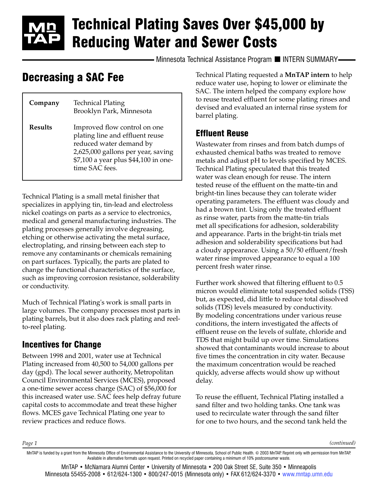# Technical Plating Saves Over \$45,000 by Reducing Water and Sewer Costs

Minnesota Technical Assistance Program II INTERN SUMMARY-

## Decreasing a SAC Fee

| Company        | <b>Technical Plating</b><br>Brooklyn Park, Minnesota                                                                                                                                       |
|----------------|--------------------------------------------------------------------------------------------------------------------------------------------------------------------------------------------|
| <b>Results</b> | Improved flow control on one<br>plating line and effluent reuse<br>reduced water demand by<br>2,625,000 gallons per year, saving<br>\$7,100 a year plus \$44,100 in one-<br>time SAC fees. |

Technical Plating is a small metal finisher that specializes in applying tin, tin-lead and electroless nickel coatings on parts as a service to electronics, medical and general manufacturing industries. The plating processes generally involve degreasing, etching or otherwise activating the metal surface, electroplating, and rinsing between each step to remove any contaminants or chemicals remaining on part surfaces. Typically, the parts are plated to change the functional characteristics of the surface, such as improving corrosion resistance, solderability or conductivity.

Much of Technical Plating's work is small parts in large volumes. The company processes most parts in plating barrels, but it also does rack plating and reelto-reel plating.

#### Incentives for Change

Between 1998 and 2001, water use at Technical Plating increased from 40,500 to 54,000 gallons per day (gpd). The local sewer authority, Metropolitan Council Environmental Services (MCES), proposed a one-time sewer access charge (SAC) of \$56,000 for this increased water use. SAC fees help defray future capital costs to accommodate and treat these higher flows. MCES gave Technical Plating one year to review practices and reduce flows.

Technical Plating requested a **MnTAP intern** to help reduce water use, hoping to lower or eliminate the SAC. The intern helped the company explore how to reuse treated effluent for some plating rinses and devised and evaluated an internal rinse system for barrel plating.

#### Effluent Reuse

Wastewater from rinses and from batch dumps of exhausted chemical baths was treated to remove metals and adjust pH to levels specified by MCES. Technical Plating speculated that this treated water was clean enough for reuse. The intern tested reuse of the effluent on the matte-tin and bright-tin lines because they can tolerate wider operating parameters. The effluent was cloudy and had a brown tint. Using only the treated effluent as rinse water, parts from the matte-tin trials met all specifications for adhesion, solderability and appearance. Parts in the bright-tin trials met adhesion and solderability specifications but had a cloudy appearance. Using a 50/50 effluent/fresh water rinse improved appearance to equal a 100 percent fresh water rinse.

Further work showed that filtering effluent to 0.5 micron would eliminate total suspended solids (TSS) but, as expected, did little to reduce total dissolved solids (TDS) levels measured by conductivity. By modeling concentrations under various reuse conditions, the intern investigated the affects of effluent reuse on the levels of sulfate, chloride and TDS that might build up over time. Simulations showed that contaminants would increase to about five times the concentration in city water. Because the maximum concentration would be reached quickly, adverse affects would show up without delay.

To reuse the effluent, Technical Plating installed a sand filter and two holding tanks. One tank was used to recirculate water through the sand filter for one to two hours, and the second tank held the

*Page 1*

*(continued)*

MnTAP is funded by a grant from the Minnesota Office of Environmental Assistance to the University of Minnesota, School of Public Health. © 2003 MnTAP. Reprint only with permission from MnTAP. Available in alternative formats upon request. Printed on recycled paper containing a minimum of 10% postconsumer waste.

MnTAP • McNamara Alumni Center • University of Minnesota • 200 Oak Street SE, Suite 350 • Minneapolis Minnesota 55455-2008 • 612/624-1300 • 800/247-0015 (Minnesota only) • FAX 612/624-3370 • [www.mntap.umn.edu](http://www.mntap.umn.edu)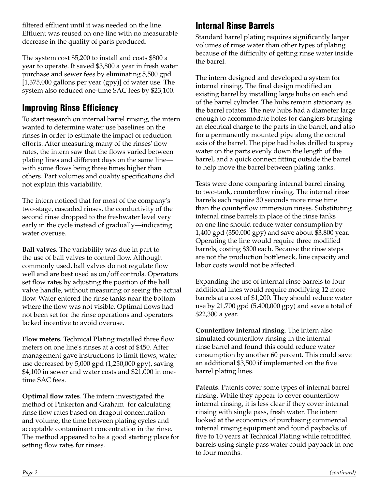filtered effluent until it was needed on the line. Effluent was reused on one line with no measurable decrease in the quality of parts produced.

The system cost \$5,200 to install and costs \$800 a year to operate. It saved \$3,800 a year in fresh water purchase and sewer fees by eliminating 5,500 gpd [1,375,000 gallons per year (gpy)] of water use. The system also reduced one-time SAC fees by \$23,100.

### Improving Rinse Efficiency

To start research on internal barrel rinsing, the intern wanted to determine water use baselines on the rinses in order to estimate the impact of reduction efforts. After measuring many of the rinses' flow rates, the intern saw that the flows varied between plating lines and different days on the same line with some flows being three times higher than others. Part volumes and quality specifications did not explain this variability.

The intern noticed that for most of the company's two-stage, cascaded rinses, the conductivity of the second rinse dropped to the freshwater level very early in the cycle instead of gradually—indicating water overuse.

**Ball valves.** The variability was due in part to the use of ball valves to control flow. Although commonly used, ball valves do not regulate flow well and are best used as on/off controls. Operators set flow rates by adjusting the position of the ball valve handle, without measuring or seeing the actual flow. Water entered the rinse tanks near the bottom where the flow was not visible. Optimal flows had not been set for the rinse operations and operators lacked incentive to avoid overuse.

**Flow meters.** Technical Plating installed three flow meters on one line's rinses at a cost of \$450. After management gave instructions to limit flows, water use decreased by 5,000 gpd (1,250,000 gpy), saving \$4,100 in sewer and water costs and \$21,000 in onetime SAC fees.

**Optimal flow rates**. The intern investigated the method of Pinkerton and Graham<sup>1</sup> for calculating rinse flow rates based on dragout concentration and volume, the time between plating cycles and acceptable contaminant concentration in the rinse. The method appeared to be a good starting place for setting flow rates for rinses.

#### Internal Rinse Barrels

Standard barrel plating requires significantly larger volumes of rinse water than other types of plating because of the difficulty of getting rinse water inside the barrel.

The intern designed and developed a system for internal rinsing. The final design modified an existing barrel by installing large hubs on each end of the barrel cylinder. The hubs remain stationary as the barrel rotates. The new hubs had a diameter large enough to accommodate holes for danglers bringing an electrical charge to the parts in the barrel, and also for a permanently mounted pipe along the central axis of the barrel. The pipe had holes drilled to spray water on the parts evenly down the length of the barrel, and a quick connect fitting outside the barrel to help move the barrel between plating tanks.

Tests were done comparing internal barrel rinsing to two-tank, counterflow rinsing. The internal rinse barrels each require 30 seconds more rinse time than the counterflow immersion rinses. Substituting internal rinse barrels in place of the rinse tanks on one line should reduce water consumption by 1,400 gpd (350,000 gpy) and save about \$3,800 year. Operating the line would require three modified barrels, costing \$300 each. Because the rinse steps are not the production bottleneck, line capacity and labor costs would not be affected.

Expanding the use of internal rinse barrels to four additional lines would require modifying 12 more barrels at a cost of \$1,200. They should reduce water use by 21,700 gpd (5,400,000 gpy) and save a total of \$22,300 a year.

**Counterflow internal rinsing**. The intern also simulated counterflow rinsing in the internal rinse barrel and found this could reduce water consumption by another 60 percent. This could save an additional \$3,500 if implemented on the five barrel plating lines.

**Patents.** Patents cover some types of internal barrel rinsing. While they appear to cover counterflow internal rinsing, it is less clear if they cover internal rinsing with single pass, fresh water. The intern looked at the economics of purchasing commercial internal rinsing equipment and found paybacks of five to 10 years at Technical Plating while retrofitted barrels using single pass water could payback in one to four months.